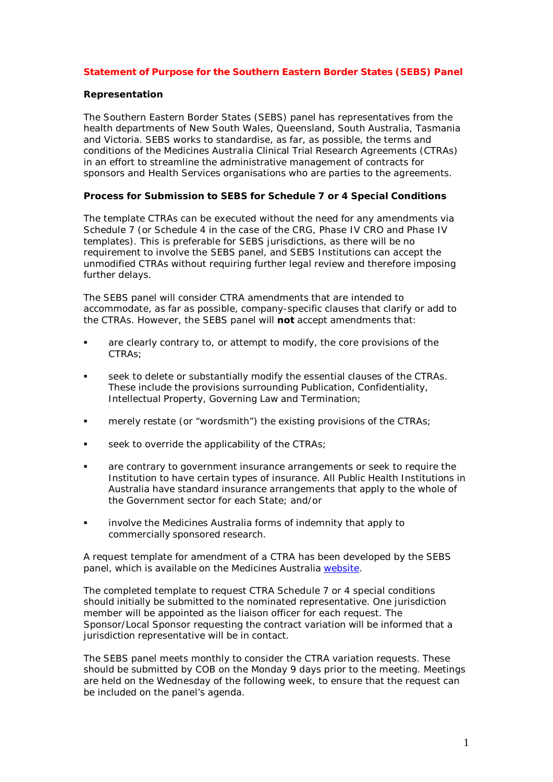# **Statement of Purpose for the Southern Eastern Border States (SEBS) Panel**

### **Representation**

The Southern Eastern Border States (SEBS) panel has representatives from the health departments of New South Wales, Queensland, South Australia, Tasmania and Victoria. SEBS works to standardise, as far, as possible, the terms and conditions of the Medicines Australia Clinical Trial Research Agreements (CTRAs) in an effort to streamline the administrative management of contracts for sponsors and Health Services organisations who are parties to the agreements.

### **Process for Submission to SEBS for Schedule 7 or 4 Special Conditions**

The template CTRAs can be executed without the need for any amendments via Schedule 7 (or Schedule 4 in the case of the CRG, Phase IV CRO and Phase IV templates). This is preferable for SEBS jurisdictions, as there will be no requirement to involve the SEBS panel, and SEBS Institutions can accept the unmodified CTRAs without requiring further legal review and therefore imposing further delays.

The SEBS panel will consider CTRA amendments that are intended to accommodate, as far as possible, company-specific clauses that clarify or add to the CTRAs. However, the SEBS panel will **not** accept amendments that:

- are clearly contrary to, or attempt to modify, the core provisions of the CTRAs;
- seek to delete or substantially modify the essential clauses of the CTRAs. These include the provisions surrounding Publication, Confidentiality, Intellectual Property, Governing Law and Termination;
- **EXECT** merely restate (or "wordsmith") the existing provisions of the CTRAs;
- seek to override the applicability of the CTRAs;
- are contrary to government insurance arrangements or seek to require the Institution to have certain types of insurance. All Public Health Institutions in Australia have standard insurance arrangements that apply to the whole of the Government sector for each State; and/or
- **EXEDENT INVOLVE THE MEDICIOUS AUSTER IS AN ART AT A THE MEDITY OF STARK IS AN INTERED** commercially sponsored research.

A request template for amendment of a CTRA has been developed by the SEBS panel, which is available on the Medicines Australia [website.](http://medicinesaustralia.com.au/issues-information/clinical-trials/clinical-trials-research-agreements/)

The completed template to request CTRA Schedule 7 or 4 special conditions should initially be submitted to the nominated representative. One jurisdiction member will be appointed as the liaison officer for each request. The Sponsor/Local Sponsor requesting the contract variation will be informed that a jurisdiction representative will be in contact.

The SEBS panel meets monthly to consider the CTRA variation requests. These should be submitted by COB on the Monday 9 days prior to the meeting. Meetings are held on the Wednesday of the following week, to ensure that the request can be included on the panel's agenda.